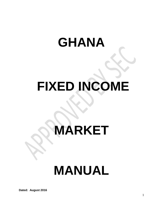# **GHANA**

## **FIXED INCOME**

# **MARKET**

## **MANUAL**

**Dated: August 2016**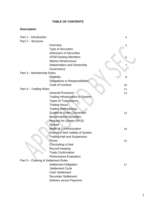#### **TABLE OF CONTENTS**

#### **Description**

| Part 1 - Introduction                |                                         | 4  |
|--------------------------------------|-----------------------------------------|----|
| Part 2 - Structure                   |                                         |    |
|                                      | Overview                                | 5  |
|                                      | <b>Type of Securities</b>               |    |
|                                      | <b>Admission of Securities</b>          |    |
|                                      | <b>GFIM Dealing Members</b>             | 6  |
|                                      | Market Infrastructure                   |    |
|                                      | <b>Stakeholders and Ownership</b>       | 7  |
|                                      | Governance                              |    |
| Part 3 - Membership Rules            |                                         |    |
|                                      | Eligibility                             | 8  |
|                                      | <b>Obligations or Responsibilities</b>  |    |
|                                      | Code of Conduct                         | 10 |
| Part 4 – Trading Rules               |                                         | 11 |
|                                      | <b>General Provisions</b>               | 12 |
|                                      | Trading Infrastructure or System        |    |
|                                      | <b>Types of Transactions</b>            |    |
|                                      | <b>Trading Hours</b>                    |    |
|                                      | <b>Trading Methodology</b>              |    |
|                                      | <b>Quotes or Order Convention</b>       | 13 |
|                                      | <b>Benchmarked Securities</b>           |    |
|                                      | <b>Request for Quotes (RFQ)</b>         |    |
|                                      | Spread                                  |    |
|                                      | <b>Mode of Communication</b>            | 14 |
|                                      | <b>Execution and Validity of Quotes</b> |    |
|                                      | <b>Trading Halt and Suspension</b>      |    |
|                                      | Prices                                  | 15 |
|                                      | Concluding a Deal                       |    |
|                                      | <b>Record Keeping</b>                   |    |
|                                      | <b>Trade Confirmation</b>               |    |
|                                      | <b>Performance Evaluation</b>           |    |
| Part 5 – Clearing & Settlement Rules |                                         |    |
|                                      | <b>Settlement Obligation</b>            | 17 |
|                                      | <b>Settlement Cycle</b>                 |    |
|                                      | <b>Cash Settlement</b>                  |    |
|                                      | <b>Securities Settlement</b>            |    |
|                                      | Delivery versus Payment                 |    |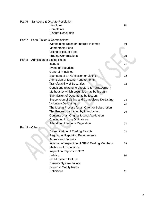| Part 6 - Sanctions & Dispute Resolution |                                                   |    |
|-----------------------------------------|---------------------------------------------------|----|
|                                         | Sanctions                                         | 18 |
|                                         | Complaints                                        |    |
|                                         | <b>Dispute Resolution</b>                         |    |
| Part 7 - Fees, Taxes & Commissions      |                                                   |    |
|                                         | Withholding Taxes on Interest Incomes             | 19 |
|                                         | <b>Membership Fees</b>                            |    |
|                                         | <b>Listing or Issuer Fees</b>                     |    |
|                                         | <b>Trading Commissions</b>                        | 20 |
| Part 8 - Admission or Listing Rules     |                                                   |    |
|                                         | <b>Issuers</b>                                    | 21 |
|                                         | <b>Types of Securities</b>                        |    |
|                                         | <b>General Principles</b>                         |    |
|                                         | Sponsors of an Admission or Listing               | 22 |
|                                         | <b>Admission or Listing Requirements</b>          |    |
|                                         | <b>Transferability of Securities</b>              | 23 |
|                                         | Conditions relating to directors & management     |    |
|                                         | Methods by which securities may be brought        |    |
|                                         | Submission of Documents by Issuers                |    |
|                                         | Suspension of Listing and Compulsory De-Listing   | 24 |
|                                         | <b>Voluntary De-Listing</b>                       | 25 |
|                                         | The Listing Process for an Offer for Subscription |    |
|                                         | The Process for Listing by Introduction           | 26 |
|                                         | Contents of an Original Listing Application       |    |
|                                         | <b>Continuing Listing Obligations</b>             |    |
|                                         | Alteration of Issuer's Regulation                 | 27 |
| Part 9 - Others                         |                                                   |    |
|                                         | <b>Dissemination of Trading Results</b>           | 28 |
|                                         | <b>Regulatory Reporting Requirements</b>          |    |
|                                         | <b>Access and Security</b>                        |    |
|                                         | Initiation of Inspection of GFIM Dealing Members  | 29 |
|                                         | Methods of Inspections                            |    |
|                                         | Inspection Reports to SEC                         |    |
|                                         | Liability                                         | 30 |
|                                         | <b>GFIM System Failure</b>                        |    |
|                                         | Dealer's System Failure                           |    |
|                                         | Power to Modify Rules                             |    |
|                                         | <b>Definitions</b>                                | 31 |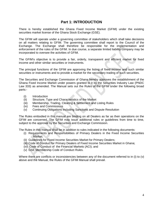### **Part 1: INTRODUCTION**

There is hereby established the Ghana Fixed Income Market (GFIM) under the existing securities market license of the Ghana Stock Exchange (GSE).

The GFIM will operate under a governing committee of stakeholders which shall take decisions on all matters relating to GFIM. The governing committee shall report to the Council of the Exchange. The Exchange shall therefore be responsible for the implementation and enforcement of the rules of the GFIM. In due course, a separate limited liability company may be incorporated to oversee the activities of GFIM.

The GFIM"s objective is to provide a fair, orderly, transparent and efficient market for fixed income and other similar securities or instruments.

The principal functions of the GFIM are approving the listing of fixed income and such similar securities or instruments and to provide a market for the secondary trading of such securities.

The Securities and Exchange Commission of Ghana hereby approves the establishment of the Ghana Fixed Income Market under powers granted to it by the Securities Industry Law (PNDC Law 333) as amended. The Manual sets out the Rules of the GFIM under the following broad parts:-

- (i) Introduction
- (ii) Structure, Type and Characteristics of the Market
- (iii) Membership, Trading, Clearing & Settlement and Listing Rules
- (iv) Fees and Commissions
- (v) Continuing Obligations including Sanctions and Dispute Resolution

The Rules embodied in this manual are binding on all Dealers as far as their operations on the GFIM are concerned. The GFIM may issue additional rules or guidelines from time to time, subject to the approval by the Securities and Exchange Commission.

The Rules in this manual shall be in addition to rules indicated in the following documents:

- (i) Requirements and Responsibilities of Primary Dealers in the Fixed Income Securities Market:
- (ii) Guidelines for Fixed Income Securities Market for Primary Dealers;
- (iii) Code of Conduct for Primary Dealers of Fixed Income Securities Market in Ghana;
- (iv) Code of Conduct of the Financial Markets (ACI); and
- (v) GSE Membership Code of Conduct Rules.

Where there are conflicts or inconsistencies between any of the document referred to in (i) to (v) above and the Manual, the Rules of the GFIM Manual shall prevail.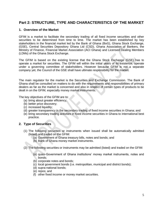## **Part 2: STRUCTURE, TYPE AND CHARACTERISTICS OF THE MARKET**

#### **1. Overview of the Market**

GFIM is a market to facilitate the secondary trading of all fixed income securities and other securities to be determined from time to time. The market has been established by key stakeholders in the financial market led by the Bank of Ghana (BoG), Ghana Stock Exchange, (GSE), Central Securities Depository Ghana Ltd (CSD), Ghana Association of Bankers, the Ministry of Finance, Financial Market Association (ACI Ghana) and Licensed Dealing Members (LDMs) of the Ghana Stock Exchange.

The GFIM is based on the existing license that the Ghana Stock Exchange (GSE) has to operate a market for securities. The GFIM will within the initial years of its existence, operate under a governing committee of stakeholders. However because GFIM is not a separate company yet, the Council of the GSE shall have ultimate responsibility for the market.

The main regulator for the market is the Securities and Exchange Commission. The Bank of Ghana shall be consulted on matters to do with the requirements and responsibilities of primary dealers as far as the market is concerned and also in respect of certain types of products to be dealt in on the GFIM, especially money market instruments.

The key objectives of the GFIM are to:

- (a) bring about greater efficiency;
- (b) better price discovery;
- (c) increased liquidity;
- (d) greater transparency in the secondary trading of fixed income securities in Ghana; and
- (e) bring secondary trading activities in fixed income securities in Ghana to international best practice.

#### **2. Type of Securities**

- (1) The following securities or instruments when issued shall be automatically admitted (listed) and traded on the GFIM:
	- (a) Government of Ghana treasury bills, notes and bonds; and
	- (b) Bank of Ghana money market instruments.
- (2) The following securities or instruments may be admitted (listed) and traded on the GFIM:
	- (a) quasi-Government of Ghana institutions" money market instruments, notes and bonds;
	- (b) corporate notes and bonds;
	- (c) local government bonds (i.e. metropolitan, municipal and district bonds);
	- (d) supra-national bonds;
	- (e) repos; and
	- (f) other fixed income or money market securities.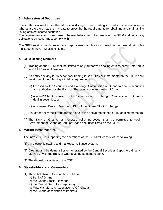#### **3. Admission of Securities**

The GFIM is a market for the admission (listing) to and trading in fixed income securities in Ghana. It therefore has the mandate to prescribe the requirements for obtaining and maintaining listing of fixed income securities.

The requirements comprise those to be met before securities are listed on GFIM and continuing obligations an issuer must comply with.

The GFIM retains the discretion to accept or reject applications based on the general principles indicated in the GFIM Listing Rules.

#### **4. GFIM Dealing Members**

- (1) Trading on the GFIM shall be limited to only authorized dealing entities herein referred to as GFIM Dealing Members
- (2) An entity seeking to do secondary trading in securities or instruments on the GFIM shall meet one of the following eligibility requirements:
	- (a) licensed by the Securities and Exchange Commission of Ghana to deal in securities and authorized by the Bank of Ghana as a primary dealer (PD); or
	- (b) a non-PD bank licensed by the Securities and Exchange Commission of Ghana to deal in securities; or
	- (c) a Licensed Dealing Member (LDM) of the Ghana Stock Exchange.
- (3) Any other entity must trade through one of the above mentioned GFIM dealing members.
- (4) The Bank of Ghana, for monetary policy purposes, shall be permitted to deal in Government of Ghana or Bank of Ghana securities listed on the GFIM.

#### **5. Market Infrastructure**

The infrastructure supporting the operations of the GFIM will consist of the following:-

- (1) An electronic trading and market surveillance system.
- (2) Clearing and Settlement System operated by the Central Securities Depository Ghana Ltd (CSD) with the Bank of Ghana as the settlement bank.
- (3) The depository system of the CSD.

#### **6. Stakeholders and Ownership**

- (1) The initial stakeholders of the GFIM are:
	- (a) Bank of Ghana;
	- (b) the Ghana Stock Exchange;
	- (c) the Central Securities Depository Ltd;
	- (d) Financial Markets Association (ACI) Ghana;
	- (e) the Ghana association of Bankers;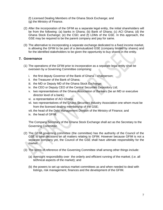(f) Licensed Dealing Members of the Ghana Stock Exchange; and (g) the Ministry of Finance.

- (2) After the incorporation of the GFIM as a separate legal entity, the initial shareholders will be from the following: (a) banks in Ghana; (b) Bank of Ghana; (c) ACI Ghana; (d) the Ghana Stock Exchange; (e) the CSD; and (f) LDMs of the GSE. In this approach, the GSE may be required to be the parent company and pay for same.
- (3) The alternative to incorporating a separate exchange dedicated to a fixed income market, is allowing the GFIM to be part of a demutualized GSE (company limited by shares) and for the identified stakeholders to be given the opportunity to buy shares in the entity.

#### **7. Governance**

- (1) The operations of the GFIM prior to incorporation as a separate legal entity shall be overseen by a Governing Committee comprising:
	- i. the first deputy Governor of the Bank of Ghana chairperson;
	- ii. the Treasurer of the Bank of Ghana;
	- iii. the MD or Deputy MD of the Ghana Stock Exchange;
	- iv. the CEO or Deputy CEO of the Central Securities Depository Ltd;
	- v. two representatives of the Ghana Association of Bankers (be an MD or executive director level of a bank);
	- vi. a representative of ACI Ghana;
	- vii. two representatives of the Ghana Securities Industry Association one whom must be from the licensed dealing membership of the GSE;
	- viii. the head of the Debt Management Division of the Ministry of Finance; and
	- ix. the head of GFIM.

The Company Secretary of the Ghana Stock Exchange shall act as the Secretary to the Governing Committee.

- (2) The GFIM governing committee (the committee) has the authority of the Council of the GSE to take decisions on all matters relating to GFIM. However because GFIM is not a separate company yet, the Council of the GSE shall have ultimate responsibility for the market.
- (3) The terms of reference of the Governing Committee shall among other things include:
	- (a) oversight responsibility over the orderly and efficient running of the market; (i.e. all technical aspects of the market); and
	- (b) the powers to set up various market committees as and when needed to deal with listings, risk management, finances and the development of the GFIM.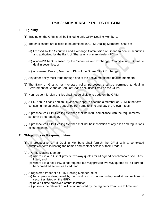## **Part 3: MEMBERSHIP RULES OF GFIM**

#### **1. Eligibility**

- (1) Trading on the GFIM shall be limited to only GFIM Dealing Members.
- (2) The entities that are eligible to be admitted as GFIM Dealing Members, shall be:
	- (a) licensed by the Securities and Exchange Commission of Ghana to deal in securities and authorized by the Bank of Ghana as a primary dealer (PD); or
	- (b) a non-PD bank licensed by the Securities and Exchange Commission of Ghana to deal in securities; or
	- (c) a Licensed Dealing Member (LDM) of the Ghana Stock Exchange.
- (4) Any other entity must trade through one of the above mentioned dealing members.
- (5) The Bank of Ghana, for monetary policy purposes, shall be permitted to deal in Government of Ghana or Bank of Ghana securities listed on the GFIM.
- (6) Non-resident foreign entities shall not be eligible to trade on the GFIM.
- (7) A PD, non-PD bank and an LDMs shall apply to become a member of GFIM in the form containing the particulars specified from time to time and pay the relevant fees.
- (8) A prospective GFIM Dealing Member shall be in full compliance with the requirements set forth by its regulator.
- (9) A prospective GFIM Dealing Member shall not be in violation of any rules and regulations of its regulator.

#### **2. Obligations or Responsibilities**

- (1) All prospective GFIM Dealing Members shall furnish the GFIM with a completed admission form indicating the names and contact details of their Traders.
- (2) A GFIM Dealing Member:
	- (a) where it is a PD, shall provide two-way quotes for all agreed benchmarked securities listed; and
	- (b) where it is a not a PD, is not required but may provide two-way quotes for all agreed benchmarked securities listed; and
- (3) A registered trader of a GFIM Dealing Member, must:
	- (a) be a person designated by his institution to do secondary market transactions in securities listed on the GFIM;
	- (b) be a full time employee of that institution;
	- (c) possess the relevant qualification required by the regulator from time to time; and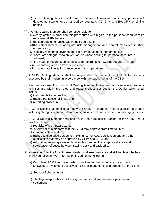- (d) on continuing basis, avail him or herself of relevant continuing professional development workshops organized by regulators, ACI Ghana, GSIA, GFIM or similar bodies.
- (4) A GFIM Dealing Member shall be responsible for:
	- (ii) clearly written internal controls procedures with regard to the personal conduct of its registered GFIM traders;
	- (iii) the segregation of duties within their operations;
	- (iiii)the establishment of adequate risk management and control measures in their organization;
	- (iiv) security measures covering dealing room equipment, personnel, etc.;
	- (iv) adequate safeguards to prevent abuse where dealing for personal accounts is allowed;
	- (ivi) the mode of record keeping, access to records and how long records are kept;
	- (ivii) recording of voice transactions; and
	- (iviii) adequate fidelity insurance cover for its operations.
- (5) A GFIM Dealing Member shall be responsible for the settlement of all transactions executed by their traders in accordance with the requirements of the CSD.
- (6) It is the responsibility of a GFIM Dealing Member to ensure that its registered trader"s activities are within the roles and responsibilities set out by the Dealer which shall include:
	- (a) instruments to be dealt in;
	- (b) traders transactional limits; and
	- (c) reporting procedure.
- (7) A GFIM Dealing Member shall notify the GFIM of changes in particulars of its traders including changes in contact details, resignations and any other form of disengagements.
- (8) A GFIM Dealing Member shall ensure, for the purposes of trading on the GFIM, that it has the following:
	- (a) requisite office infrastructure;
	- (b) a terminal or a platform that the GFIM may approve from time to time;
	- (c) communication system;
	- (d) trained and certified personnel (holding ACI or ADO certification and any other certification that may be approved by GFIM and SEC); and
	- (e) risk management system in place such as trading limits, approval limits and segregation of duties between trading desk and back office.
- (9) Know Your Client An authorized dealer shall use due care and skill to obtain the basic know your client (KYC) information including the following:-
	- (a) Completed KYC information, which provides for the name, age, investment knowledge, investment objectives, risk profile and contact information of the client.
	- (b) Source of client's funds.
	- (b) The legal responsibility for trading decisions and guarantees of payment and settlement.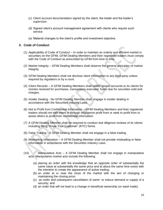- (c) Client account documentation signed by the client, the trader and the trader"s supervisor.
- (d) Signed client"s account management agreement with clients who require such service.
- (e) Material changes to the client"s profile and investment objective.

#### **3. Code of Conduct**

- (1) Applicability of Code of Conduct In order to maintain an orderly and efficient market in securities on the GFIM, GFIM Dealing Members and their registered traders must comply with the Code of Conduct as prescribed by GFIM from time to time.
- (2) Market Integrity GFIM Dealing Members shall observe the general principles of market integrity.
- (3) GFIM Dealing Members shall not disclose client information to any third party unless required by regulators or by a court.
- (4) Client Records A GFIM Dealing Members shall render proper accounts to its clients for monies received for purchases, transactions executed, funds due for securities sold and charges.
- (5) Insider Dealing No GFIM Dealing Member shall, engage in insider dealing in accordance with the Securities Industry Laws.
- (6) Not to Profit from Confidential Information GFIM Dealing Members and their registered traders should not with intent or through negligence profit from or seek to profit from or assist others to profit from confidential information.
- (7) A GFIM Dealing Member shall be required to conduct due diligence reviews of its clients including filling "Know Your Customer" (KYC) forms.
- (8) False Trading A GFIM Dealing Member shall not engage in a false trading.
- (9) Misleading Information A GFIM Dealing Member shall not provide misleading or false information in accordance with the Securities Industry Laws.
- (10) Manipulative Acts A GFIM Dealing Member shall not engage in manipulative acts. Manipulative market acts include the following:
	- (a) placing an order with the knowledge that an opposite order of substantially the same value at substantially the same price and at about the same time exists with the intention to create the appearance of active trading;
	- (b) an order at or near the close of the market with the aim of changing or maintaining the closing price;
	- (c) an order and subsequent cancellation of same to induce demand or supply of a security; and
	- (d) an order that will not lead to a change in beneficial ownership (or wash trade).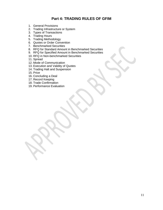## **Part 4: TRADING RULES OF GFIM**

- 1. General Provisions
- 2. Trading Infrastructure or System
- 3. Types of Transactions
- 4. Trading Hours
- 5. Trading Methodology
- 6. Quotes or Order Convention
- 7. Benchmarked Securities
- 8. RFQ for Standard Amount in Benchmarked Securities
- 9. RFQ for Specified Amount in Benchmarked Securities
- 10. RFQ in Non-benchmarked Securities
- 11. Spread
- 12. Mode of Communication
- 13. Execution and Validity of Quotes
- 14. Trading Halt and Suspension
- 15. Price
- 16. Concluding a Deal
- 17. Record Keeping
- 18. Trade Confirmation
- 19. Performance Evaluation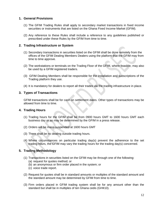#### **1. General Provisions**

- (1) The GFIM Trading Rules shall apply to secondary market transactions in fixed income securities or instruments that are listed on the Ghana Fixed Income Market (GFIM).
- (2) Any reference to these Rules shall include a reference to any guidelines published or prescribed under these Rules by the GFIM from time to time.

#### **2. Trading Infrastructure or System**

- (1) Secondary transactions in securities listed on the GFIM shall be done remotely from the offices of the GFIM Dealing Members Dealers using the platform that the GFIM may from time to time approve.
- (2) The workstations or terminals on the Trading Floor of the GFIM, where feasible, may also be used by a GFIM registered traders.
- (3) GFIM Dealing Members shall be responsible for the installation and subscriptions of the Trading platform they use.
- (4) It is mandatory for dealers to report all their trades via the trading infrastructure in place.

#### **3. Types of Transactions**

GFIM transactions shall be for cash on settlement dates. Other types of transactions may be allowed from time to time.

#### **4. Trading Hours**

- (1) Trading hours for the GFIM shall be from 0900 hours GMT to 1600 hours GMT each business day or as may be determined by the GFIM in a press release.
- (2) Orders will be mass-suspended at 1600 hours GMT
- (3) There shall be no dealing outside trading hours.
- (4) Where circumstances on particular trading day(s) prevent the adherence to the set trading hours, the GFIM may vary the trading hours for the trading day(s) concerned.

#### **5. Trading Methodology**

- (1) Transactions in securities listed on the GFIM may be through one of the following:
	- (a) request for quotes method; or
	- (b) an anonymous or firm order placed in the system; or
	- (c) voice trade report.
- (2) Request for quotes shall be in standard amounts or multiples of the standard amount and the standard amount may be determined by GFIM from time to time.
- (3) Firm orders placed in GFIM trading system shall be for any amount other than the standard but shall be in multiples of ten Ghana cedis (GH¢10).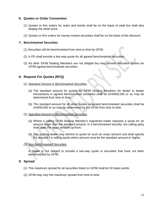#### **6. Quotes or Order Convention**

- (1) Quotes or firm orders for notes and bonds shall be on the basis of yield but shall also display the clean price.
- (2) Quotes or firm orders for money market securities shall be on the basis of the discount.

#### **7. Benchmarked Securities**

- (1) Securities will be benchmarked from time to time by GFIM
- (2) A PD shall provide a two-way quote for all agreed benchmarked securities.
- (3) All other GFIM Dealing Members are not obliged but may provide indicative quotes for GFIM agreed benchmarked securities.

#### **8. Request For Quotes (RFQ)**

- (1) Standard Amount in Benchmarked Securities
	- (a) The standard amount for quotes by GFIM Dealing Members for dealer to dealer transactions in agreed benchmarked securities shall be GH¢500,000 or as may be determined from time to time.
	- (b) The standard amount for all other quotes in agreed benchmarked securities shall be GH¢50,000 or as may be determined by the GFIM from time to time.
- (2) Specified Amount in Benchmarked Securities
	- (a) Where a calling GFIM Dealing Member"s registered trader requests a quote for an amount larger than the standard amount, in a benchmarked security, the calling party shall state the exact amount up-front.
	- (b) The quoting dealer may decline to quote for such an exact amount and shall specify the amount it is willing quote which amount must be the standard amount or higher.
- (3) Non-Benchmarked Securities

A dealer is not obliged to provide a two-way quote in securities that have not been benchmarked by GFIM.

#### **9. Spread**

- (1) The maximum spread for all securities listed on GFIM shall be 50 basis points.
- (2) GFIM may vary the maximum spread from time to time.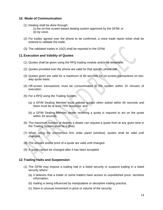#### **10. Mode of Communication**

- (1) Dealing shall be done through:
	- (i) the on-line screen-based dealing system approved by the GFIM; or (ii) by voice.
- (2) For trades agreed over the phone to be confirmed, a voice trade report ticket shall be entered to validate the trade.
- (3) The validated trades in 10(2) shall be reported to the GFIM.

#### **11.Execution and Validity of Quotes**

- (1) Quotes shall be given using the RFQ trading module and/or by telephone.
- (2) Quotes provided over the phone are valid for that specific phone call.
- (3) Quotes given are valid for a maximum of 60 seconds for on-screen transactions on twoway quote basis.
- (4) Off-screen transactions must be consummated in the system within 10 minutes of execution.
- (5) For a RFQ using the Trading System,
	- (a) a GFIM Dealing Member must provide quotes when asked within 60 seconds and there must be at least 75% response; and
	- (b) a GFIM Dealing Member dealer receiving a quote is required to act on the quote within 30 seconds.
- (6) The maximum number of dealers a dealer can request a quote from at any given time in the Trading System shall be 5 (five).
- (7) When using the anonymous firm order panel (window), quotes shall be valid until changed.
- (8) The amount and/or price of a quote are valid until changed.
- (9) A quote cannot be changed after it has been accepted.

#### **12.Trading Halts and Suspension**

- (1) The GFIM may impose a trading halt in a listed security or suspend trading in a listed security where:
	- (a) it believes that a trader or some traders have access to unpublished price- sensitive information;
	- (b) trading is being influenced by manipulative or deceptive trading practice;
	- (c) there is unusual movement in price or volume of the security;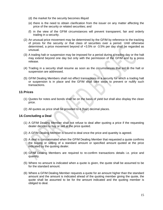- (d) the market for the security becomes illiquid
- (e) there is the need to obtain clarification from the issuer on any matter affecting the price of the security or related securities; and
- (f) in the view of the GFIM circumstances will prevent transparent, fair and orderly trading in a security.
- (2) An unusual price movement may be determined by the GFIM by reference to the tracking of prices for the security or that class of securities over a period. Until otherwise determined, a price movement beyond of +3.5% or -3.5% per day shall be regarded as unusual.
- (3) A trading halt or suspension may be imposed for a period during a trading day or the halt may extend beyond one day but only with the permission of the GFIM and by a press release.
- (4) Trading in a security shall resume as soon as the circumstances that led to the halt or suspension are addressed.
- (5) GFIM Dealing Members shall not effect transactions in a security for which a trading halt or suspension is in place and the GFIM shall take steps to prevent or nullify such transactions.

#### **13.Prices**

- (1) Quotes for notes and bonds shall be on the basis of yield but shall also display the clean price.
- (2) All quotes as price shall be provided to 4 (four) decimal places.

#### **14.Concluding a Deal**

- (1) A GFIM Dealing Member shall not refuse to deal after quoting a price if the requesting dealer decides to buy or sell at the price quoted.
- (2) A GFIM Dealing Member is bound to deal once the price and quantity is agreed.
- (3) A deal is consummated when the GFIM Dealing Member that requested a quote confirms the buying or selling of a standard amount or specified amount quoted at the price indicated by the quoting dealer.
- (4) GFIM Dealing Members are required to re-confirm transactions details i.e. price and quantity.
- (5) Where no amount is indicated when a quote is given, the quote shall be assumed to be for the standard amount.
- (6) Where a GFIM Dealing Member requests a quote for an amount higher than the standard amount and the amount is indicated ahead of the quoting member giving the quote, the quote shall be assumed to be for the amount indicated and the quoting member is obliged to deal.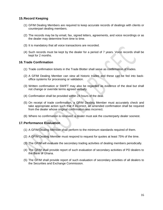#### **15.Record Keeping**

- (1) GFIM Dealing Members are required to keep accurate records of dealings with clients or counterpart dealing members.
- (2) The records may be by email, fax, signed letters, agreements, and voice recordings or as the dealer may determine from time to time.
- (3) It is mandatory that all voice transactions are recorded.
- (4) Such records must be kept by the dealer for a period of 7 years. Voice records shall be kept for 2 months.

#### **16.Trade Confirmation**

- (1) Trade confirmation tickets in the Trade Blotter shall serve as confirmation of trades.
- (2) A GFIM Dealing Member can view all historic trades and these can be fed into backoffice systems for processing or validation.
- (3) Written confirmation or SWIFT may also be regarded as evidence of the deal but shall not change or override terms agreed verbally.
- (4) Confirmation shall be provided within 24 hours of the deal.
- (5) On receipt of trade confirmation, a GFIM Dealing Member must accurately check and take appropriate action such that if incorrect, an amended confirmation shall be required from the dealer whose original confirmation was incorrect.
- (6) Where no confirmation is received, a dealer must ask the counterparty dealer soonest.

#### **17.Performance Evaluation**

- (1) A GFIM Dealing Member shall perform to the minimum standards required of them.
- (2) A GFIM Dealing Member must respond to request for quotes at least 75% of the time.
- (3) The GFIM will evaluate the secondary trading activities of dealing members periodically.
- (4) The GFIM shall provide report of such evaluation of secondary activities of PD dealers to the Bank of Ghana.
- (5) The GFIM shall provide report of such evaluation of secondary activities of all dealers to the Securities and Exchange Commission.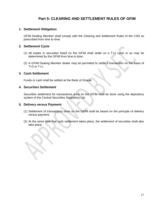## **Part 5: CLEARING AND SETTLEMENT RULES OF GFIM**

#### **1. Settlement Obligation**

GFIM Dealing Member shall comply with the Clearing and Settlement Rules of the CSD as prescribed from time to time.

#### **2. Settlement Cycle**

- (1) All trades in securities listed on the GFIM shall settle on a T+2 cycle or as may be determined by the GFIM from time to time.
- (2) A GFIM Dealing Member dealer may be permitted to settle a transaction on the basis of  $T+0$  or  $T+1$ .

#### **3. Cash Settlement**

Funds or cash shall be settled at the Bank of Ghana.

#### **4. Securities Settlement**

Securities settlement for transactions done on the GFIM shall be done using the depository system of the Central Securities Depository Ltd.

#### **5. Delivery versus Payment**

- (1) Settlement of transactions done on the GFIM shall be based on the principle of delivery versus payment.
- (2) At the same time that cash settlement takes place, the settlement of securities shall also take place.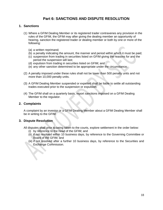## **Part 6: SANCTIONS AND DISPUTE RESOLUTION**

#### **1. Sanctions**

- (1) Where a GFIM Dealing Member or its registered trader contravenes any provision in the rules of the GFIM, the GFIM may after giving the dealing member an opportunity of hearing, sanction the registered trader or dealing member or both by one or more of the following:
	- (a) a written reprimand;
	- (b) a penalty indicating the amount, the manner and period within which it must be paid;
	- (c) suspension from trading in securities listed on GFIM giving the reasons for and the period the suspension will last;
	- (d) expulsion from trading in securities listed on GFIM; and
	- (e) any other sanction determined to be appropriate under the circumstance.
- (2) A penalty imposed under these rules shall not be lower than 500 penalty units and not more than 10,000 penalty units.
- (3) A GFIM Dealing Member suspended or expelled shall be liable to settle all outstanding trades executed prior to the suspension or expulsion.
- (4) The GFIM shall on a quarterly basis, report sanctions imposed on a GFIM Dealing Member to the regulator.

#### **2. Complaints**

A complaint by an investor or a GFIM Dealing Member about a GFIM Dealing Member shall be in writing to the GFIM.

#### **3. Dispute Resolution**

 $\leq$ 

All disputes shall prior to being taken to the courts, explore settlement in the order below:

- (i) by reference to the head of the GFIM; and
- (ii) if not resolved within 10 business days, by reference to the Governing Committee or Board of the GFIM; and
- (iii) if not resolved after a further 10 business days, by reference to the Securities and Exchange Commission.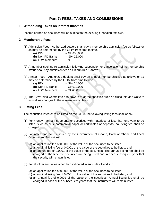## **Part 7: FEES, TAXES AND COMMISSIONS**

#### **1. Withholding Taxes on Interest incomes**

Income earned on securities will be subject to the existing Ghanaian tax laws.

#### **2. Membership Fees**

- (1) Admission Fees Authorized dealers shall pay a membership admission fee as follows or as may be determined by the GFIM from time to time.
	- (a)  $PDs$  GH $\epsilon$ 50,000
	- (b) Non-PD Banks  $-GH \&25,000$
	- (c) LDM Members Nil
- (2) A member seeking re-admission following suspension or cancellation of its membership status shall pay admission fees as in sub rule 1 above.
- (3) Annual Fees Authorized dealers shall pay an annual membership fee as follows or as may be determined by the GFIM from time to time.
	- (a)  $PDs$   $GH¢24,000$
	- (b) Non-PD Banks  $-GH@12,000$
	- (c) LDM Members  $-GH \epsilon 6,000$
- (4) The Governing Committee has powers to agree specifics such as discounts and waivers as well as changes to these membership fees.

#### **3. Listing Fees**

The securities listed or to be listed on the GFIM, the following listing fees shall apply.

- (1) For money market instruments or securities with maturities of less than one year to be listed, such as bills, commercial paper or certificates of deposits, no listing fee shall be charged.
- (2) For notes and bonds issued by the Government of Ghana, Bank of Ghana and Local Government Authorities:
	- (a) an application fee of 0.0002 of the value of the securities to be listed;
	- (b) an original listing fee of 0.0001 of the value of the securities to be listed; and
	- (c) an annual fee of 0.0001 of the value of the securities. The annual listing fee shall be charged at the time the securities are being listed and in each subsequent year that the security will remain listed:
- (3) For all other securities other than indicated in sub-rules 1 and 2, :
	- (a) an application fee of 0.0002 of the value of the securities to be listed;
	- (b) an original listing fee of 0.0001 of the value of the securities to be listed; and
	- (c) an annual fee of 0.0001 of the value of the securities. Annual listing fee shall be charged in each of the subsequent years that the instrument will remain listed: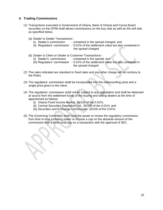#### **4. Trading Commissions**

- (1) Transactions executed in Government of Ghana, Bank of Ghana and Cocoa Board securities on the GFIM shall attract commissions on the buy side as well as the sell side as specified below.
	- (a) Dealer to Dealer Transactions:-
		- (i) Dealer's commission contained in the spread charged; and
		- (ii) Regulators" commission 0.01% of the settlement value but also contained in the spread charged
	- (b) Dealer to Client or Dealer to Customer Transactions:-
		- (i) Dealer"s commission contained in the spread; and
		- (iii) Regulators" commission 0.01% of the settlement value but also contained in the spread charged
- (2) The rates indicated are standard or fixed rates and any other charge will be contrary to the Rules.
- (3) The regulators" commission shall be incorporated into the rediscounting price and a single price given to the client.
- (4) The regulators" commission shall not be subject to any negotiation and shall be deducted at source from the settlement funds of the buying and selling dealers at the time of apportioned as follows:
	- (i) Ghana Fixed Income Market, 50/100 of the 0.01%;
	- (ii) Central Securities Depository Ltd., 30/100 of the 0.01%; and
	- (iii) Securities and Exchange Commission, 20/100 of the 0.01%.
- (5) The Governing Committee shall have the power to review the regulatory commission from time to time including power to impose a cap on the absolute amount of the commission that a client shall pay on a transaction with the approval of SEC.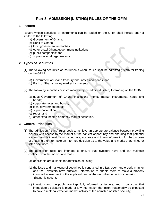## **Part 8: ADMISSION (LISTING) RULES OF THE GFIM**

#### **1. Issuers**

Issuers whose securities or instruments can be traded on the GFIM shall include but not limited to the following:

- (a) Government of Ghana;
- (b) Bank of Ghana
- (c) local government authorities;
- (d) other quasi-Ghana government institutions;
- (e) public companies; and
- (f) supra-national organizations.

#### **2. Types of Securities**

- (1) The following securities or instruments when issued shall be admitted (listed) for trading on the GFIM:
	- (a) Government of Ghana treasury bills, notes and bonds; and
	- (b) Bank of Ghana money market instruments.
- (2) The following securities or instruments may be admitted (listed) for trading on the GFIM:
	- (a) quasi-Government of Ghana institutions" money market instruments, notes and bonds;
	- (b) corporate notes and bonds;
	- (c) local government bonds;
	- (d) supra-national bonds;
	- (e) repos; and
	- (f) other fixed income or money market securities.

#### **3. General Principles**

- (1) The admission (listing) rules seek to achieve an appropriate balance between providing issuers with access to the market at the earliest opportunity and ensuring that potential issuers provide investors with adequate, accurate and timely information for the purpose of enabling them to make an informed decision as to the value and merits of admitted or listed securities.
- (2) The admission rules are intended to ensure that investors have and can maintain confidence in the market and that:-
	- (a) applicants are suitable for admission or listing;
	- (b) the issue and marketing of securities is conducted in a fair, open and orderly manner and that investors have sufficient information to enable them to make a properly informed assessment of the applicant, and of the securities for which admission (listing) is sought;
	- (c) investors and the public are kept fully informed by issuers, and in particular that immediate disclosure is made of any information that might reasonably be expected to have a material effect on market activity of the admitted or listed security;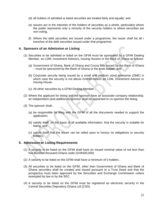- (d) all holders of admitted or listed securities are treated fairly and equally; and
- (e) issuers act in the interests of the holders of securities as a whole, particularly where the public represents only a minority of the security holders or where securities are non-voting.
- (f) Where the debt securities are issued under a programme, the issuer shall list all r tranches of the debt securities issued under that programme.

#### **4. Sponsors of an Admission or Listing**

- (1) Securities to be admitted or listed on the GFIM must be sponsored by a GFIM Dealing Member, an LDM, Investment Advisors, Issuing Houses or the Bank of Ghana as follows:
	- (a) Government of Ghana, Bank of Ghana and Cocoa Bills issued by the Bank of Ghana – must be sponsored by the Bank of Ghana or the book builder; and
	- (b) Corporate security being issued by a small and medium sized enterprise (SME) in which case the security is not above GH¢50 million, an LDM, Investment Advisor or Issuing House.
	- (c) All other securities by a GFIM Dealing Member..
- (2) Where the applicant for listing and the sponsor have an associate company relationship, an independent (and additional) sponsor shall be appointed to co-sponsor the listing.
- (3) The sponsor shall:-
	- (a) be responsible for filing with the GFIM of all the documents needed to support the application;
	- (b) satisfy itself, on the basis of all available information, that the security is suitable for listing; and
	- (c) satisfy itself that the issuer can be relied upon to honour its obligations to security holders.

#### **5. Admission or Listing Requirements**

- (1) A security to be listed on the GFIM shall have an issued nominal value of not less than five hundred thousand Ghana cedis (GH¢500,000)
- (2) A security to be listed on the GFIM shall have a minimum of 5 holders.
- (3) All securities to be listed on the GFIM, other than Government of Ghana and Bank of Ghana securities shall be created and issued pursuant to a Trust Deed and that the prospectus must been approved by the Securities and Exchange Commission unless exempted by law or by the SEC.
- (4) A security to be listed on the GFIM must be registered as electronic security in the Central Securities Depository Ghana Ltd (CSD).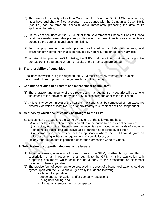- (5) The issuer of a security, other than Government of Ghana or Bank of Ghana securities, must have published or filed accounts in accordance with the Companies Code, 1963, (Act 179) for the three full financial years immediately preceding the date of its application for listing.
- (6) An issuer of securities on the GFIM, other than Government of Ghana or Bank of Ghana must have made reasonable pre-tax profits during the three financial years immediately preceding the date of its application for listing.
- (7) For the purposes of this rule, pre-tax profit shall not include non-recurring and extraordinary income, nor shall it be reduced by non-recurring or extraordinary loss.
- (8) In determining pre-tax profit for listing, the GFIM shall take into consideration a positive pre-tax profit in aggregate when the results of the three years are added.

#### **6. Transferability of securities**

 Securities for which listing is sought on the GFIM must be freely transferable, subject only to restrictions imposed by the general laws of the country.

#### **7. Conditions relating to directors and management of applicant**

- (1) The character and integrity of the directors and management of a security will be among the criteria taken into account by the GFIM in assessing the application for listing.
- (2) At least fifty percent (50%) of the board of the issuer shall be composed of non-executive directors, of which at least two (2) or approximately 25% thereof shall be independent.

#### **8. Methods by which securities may be brought to the GFIM**

Securities may be brought to the GFIM by any one of the following methods:-

- (a) an offer for subscription, which is an offer to the public by an issuer of securities;
- (b) a placing, which is an issue where the securities are placed in the hands of a number of identified institutions and individuals or through a restricted public offer;
- (c) an introduction, which describes an application where the GFIM would grant an issuer a listing without the requirement of a public issue; or
- (d) any other mode that is permitted under the Companies Code of Ghana.

#### **9. Submission of supporting documents by Issuers**

- (1) An issuer seeking admission of its securities on the GFIM, whether through an offer for subscription or an introduction, shall submit to the GFIM a listing application with supporting documents which shall include a copy of the prospectus or placement document, where applicable.
- (2) The precise form of document to be produced in respect of a listing application should be agreed upon with the GFIM but will generally include the following:
	- a letter of application;
	- supporting authorization and/or company resolutions;
	- listing undertaking; and
	- information memorandum or prospectus.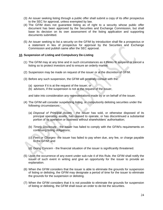- (3) An issuer seeking listing through a public offer shall submit a copy of its offer prospectus to the SEC for approval, unless exempted by law.
- (4) The GFIM does not guarantee listing as of right to a security whose public offer document has been approved by the Securities and Exchange Commission, but shall base its decision on its own assessment of the listing application and supporting documents submitted.
- (5) An issuer seeking to list a security on the GFIM by introduction shall file a prospectus or a statement in lieu of prospectus for approval by the Securities and Exchange Commission and publish same after the SEC approval.

#### **10. Suspension of Listing and Compulsory De-Listing**

- (1) The GFIM may at any time and in such circumstances as it thinks fit suspend or cancel a listing so to protect investors and to ensure an orderly market.
- (2) Suspension may be made on request of the issuer or at the discretion of GFIM.
- (3) Before any such suspension, the GFIM will generally consult with the:
	- (a) sponsor if it is at the request of the issuer; or
	- (b) advisors, if the suspension is not at the request of the issuer,

and take into consideration any representations made by or on behalf of the issuer.

- (4) The GFIM will consider suspending listing, or compulsorily delisting securities under the following circumstances:-
	- (a) *Disposal of Principal Assets -* the issuer has sold, or otherwise disposed of its principal operating assets, has ceased to operate, or has discontinued a substantial portion of its operation or business without shareholders' authorisation;
	- (b) *Timely Disclosure -* the issuer has failed to comply with the GFIM"s requirements on continuing listing obligations;
	- (c) *Fees or Charges-* the issuer has failed to pay when due, any fee, or charge payable to the GFIM; and
	- (d) *Going Concern -* the financial situation of the issuer is significantly threatened.
- (5) Upon the occurrence of any event under sub-rule 4 of this Rule, the GFIM shall notify the issuer of such event in writing and give an opportunity for the issuer to provide an explanation.
- (6) When the GFIM considers that the issuer is able to eliminate the grounds for suspension of listing or delisting, the GFIM may designate a period of time for the issuer to eliminate the grounds for the suspension or delisting.
- (7) When the GFIM considers that it is not possible to eliminate the grounds for suspension of listing or delisting, the GFIM shall issue an order to de-list the securities.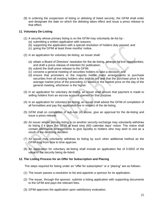(9) In ordering the suspension of listing or delisting of listed security, the GFIM shall order and designate the date on which the delisting takes effect and issue a press release to that effect.

#### **11. Voluntary De-Listing**

- (1) A security whose primary listing is on the GFIM may voluntarily de-list by:-
	- (a) submitting a written application with reasons;
	- (b) supporting the application with a special resolution of holders duly passed; and
	- (c) giving the GFIM at least three months" notice.
- (2) In an application for voluntary de-listing, an issuer shall:
	- (a) obtain a Board of Directors" resolution for the de-listing, arrange for exit opportunities, and draft a press release of intention for publication;
	- (b) submit the draft press release to the GFIM;
	- (c) convene a general meeting of securities holders to take a decision; and
	- (d) ensure that promoters or the majority holder make arrangements to purchase securities from all existing holders who wish to sell and that the purchase price is the average market price of the preceding 12 weeks or the market price on the day of the general meeting, whichever is the higher.
- (3) In an application for voluntary de-listing, an issuer shall ensure that payment is made to selling holders from an escrow account opened for that purpose.
- (4) In an application for voluntary de-listing, an issuer shall advise the GFIM of completion of all formalities and pay the application fee in respect of the de-listing.
- (5) GFIM shall on completion of sub-rule (4) above, give an approval for the de-listing and issue a press release.
- (6) An issuer whose primary listing is on another security exchange may voluntarily withdraw its listing if it gives the GFIM at least sixty (60) calendar days" notice. The notice shall contain alternative arrangements to give liquidity to holders who may wish to exit as a result of the de-listing decision.
- (7) An issuer may voluntarily withdraw its listing by such other additional method as the GFIM may from time to time approve.
- (8) An application for voluntary de-listing shall include an application fee of 0.0002 of the value of the security being de-listed.

#### **12. The Listing Process for an Offer for Subscription and Placing**

The steps required for listing under an "offer for subscription" or a "placing" are as follows:-

- (1) The issuer passes a resolution to list and appoints a sponsor for its application.
- (2) The issuer, through the sponsor, submits a listing application with supporting documents to the GFIM and pays the relevant fees.
- (3) GFIM approves the application upon satisfactory evaluation.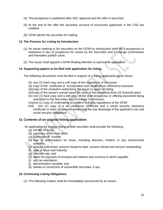- (4) The prospectus is published after SEC approval and the offer is launched.
- (5) At the end of the offer the securities account of successful applicants in the CSD are credited.
- (6) GFIM admits the securities for trading.

#### **13. The Process for Listing by Introduction**

- (1) An issuer seeking to list securities on the GFIM by Introduction shall file a prospectus or statement in lieu of prospectus for review by the Securities and Exchange Commission and thereafter publish same.
- (2) The issuer shall appoint a GFIM Dealing Member to sponsor its application.

#### **14. Supporting papers to be filed with application for listing**

The following documents must be filed in support of a listing application by an issuer.

- (ii) one (1) hard copy and a soft copy of the regulations of the issuer
- (iii) copy of the certificate of incorporation and certificate to commence business
- (iiii) copy of the resolution authorising the issuer to apply for listing
- (iiv)copy of the issuer"s annual report for each of the preceding three (3) financial years
- (iv) one (1) hard copy and a soft copy of the draft prospectus or offering document being submitted to the Securities and Exchange Commission
- (ivi)one (1) copy of Undertaking to conform to listing regulations of the GFIM
- (ivii) one (1) copy of a tax clearance certificate and a social security clearance certificate or other documents evidencing the due discharge of the applicant"s tax and social security obligations

#### **15. Contents of an original listing application**

An application for original listing of debt securities shall provide the following:

- (a) full title of issue;
- (b) summary of the trust deed;
- (c) particulars of trustee;
- (d) date of authorisation for issue, including directors, holders or any Government authority;
- (e) amount authorised, amount issued to-date, amount retired and amount outstanding;
- (f) date of issue and maturity;
- (g) interest rate; and
- (h) dates for payment of principal and interest and currency in which payable;
- (i) any tax exemption;
- (j) denomination issuable; and
- (k) details of conversion of convertible securities, if any.

#### **16. Continuing Listing Obligations**

(1) The following matters shall be immediately announced by an issuer:-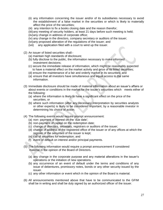- (ii) any information concerning the issuer and/or of its subsidiaries necessary to avoid the establishment of a false market in the securities or which is likely to materially affect the price of the securities;
- (iii) any intention to fix a books closing date and the reason therefor;
- (iiii)any meeting of security holders, at least 21 days before such meeting is held;
- (iiv)any change in address of corporate office;
- (iv) any change in the directors, company secretary or auditors of the issuer;
- (ivi)any proposed alteration of the regulations of the issuer; and
- (ivii) any application filed with a court to wind up the issuer.
- (2) An issuer of listed securities shall:-
	- (a) maintain high standards of disclosure;
	- (b) fully disclose to the public, the information necessary to make informed investment decisions;
	- (c) secure the immediate release of information, which might be reasonably expected to have a material effect on the market activity and price of its listed securities;
	- (d) ensure the maintenance of a fair and orderly market in its securities; and
	- (a) ensure that all investors have simultaneous and equal access to the same information.
- (3) Immediate disclosure should be made of material information about an issuer"s affairs or about events or conditions in the market for the issuer's securities which meets either of the following:
	- (a) where the information is likely to have a significant effect on the price of the securities, or
	- (b) where such information (after any necessary interpretation by securities analysts or other experts) is likely to be considered important, by a reasonable investor in determining his choice of action.
- (4) The following events would require prompt announcement:
	- (a) non- payment of interest on the "due date";
	- (b) non-payment of capital on the redemption date;
	- (c) change of directors, secretary, registrars or auditors of the issuer;
	- (d) change of address of the registered office of the issuer or of any offices at which the register of the securities of the issuer is kept;
	- (e) call of securities for redemption; and
	- (f) event of default on interest and/or principal payments.
- (5) The following information would require a prompt announcement if considered material in the opinion of the Board of Directors.
	- (a) any change in the corporate purpose and any material alterations in the issuer"s operations or the initiation of new operations.
	- (b) any occurrence of an event of default under the terms and conditions of any issue of debentures, promissory notes, bonds or any other security issued by the issuer.
	- (c) any other information or event which in the opinion of the Board is material.
- (6) All announcements mentioned above that have to be communicated to the GFIM shall be in writing and shall be duly signed by an authorized officer of the issuer.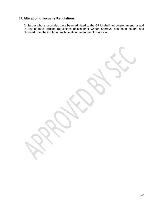## **17. Alteration of Issuer's Regulations**

An issuer whose securities have been admitted to the GFIM shall not delete, amend or add to any of their existing regulations unless prior written approval has been sought and obtained from the GFIM for such deletion, amendment or addition.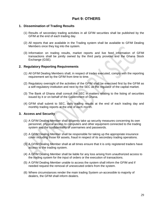## **Part 9: OTHERS**

#### **1. Dissemination of Trading Results**

- (1) Results of secondary trading activities in all GFIM securities shall be published by the GFIM at the end of each trading day.
- (2) All reports that are available in the Trading system shall be available to GFIM Dealing Members once they log into the system.
- (3) Information on trading results, market reports and live feed information of GFIM transactions shall be jointly owned by the third party provider and the Ghana Stock Exchange (GSE).

#### **2. Regulatory Reporting Requirements**

- (1) All GFIM Dealing Members shall, in respect of trades executed, comply with the reporting requirement set by the GFIM from time to time.
- (2) Regulatory oversight of the activities of the GFIM shall be exercised first by the GFIM as a self-regulatory institution and next by the SEC as the regulator of the capital market.
- (3) The Bank of Ghana shall consult the SEC in matters relating to the listing of securities issued by it or on behalf of the Government of Ghana.
- (4) GFIM shall submit to SEC, daily trading results at the end of each trading day and monthly trading reports at the end of each month.

#### **3. Access and Security**

- (1) A GFIM Dealing Member shall diligently take up security measures concerning its own personnel, physical access to computers and other equipment connected to the trading system and the confidentiality of usernames and passwords.
- (2) A GFIM Dealing Member shall be responsible for taking up the appropriate insurance cover including those for assets, fraud in respect of its secondary trading operations.
- (3) A GFIM Dealing Member shall at all times ensure that it is only registered traders have access to the trading system.
- (4) A GFIM Dealing Member shall be liable for any loss arising from unauthorized access to the trading system for the input of orders or the execution of transactions.
- (5) A GFIM Dealing Member unable to access the system shall inform the GFIM and if needed request the removal of unexecuted orders from the system.
- (6) Where circumstances render the main trading System un-accessible to majority of dealers, the GFIM shall inform dealers.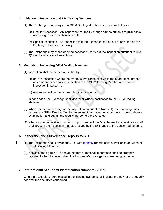#### **4. Initiation of Inspection of GFIM Dealing Members**

- (1) The Exchange shall carry out a GFIM Dealing Member inspection as follows:-
	- (a) Regular inspection An inspection that the Exchange carries out on a regular basis according to its inspection schedule.
	- (b) Special Inspection An inspection that the Exchange carries out at any time as the Exchange deems it necessary.
- (2) The Exchange may, when deemed necessary, carry out the inspection pursuant to rule 4(1) jointly with related institutions.

#### **5. Methods of Inspecting GFIM Dealing Members**

- (1) Inspection shall be carried out either by:
	- (a) on-site inspection where the market surveillance staff visits the head-office, branch office or any other business location of the GFIM Dealing Member and conduct inspection in person; or
	- (b) written inspection made through correspondence.

In each case, the Exchange shall give prior written notification to the GFIM Dealing Member.

- (2) When deemed necessary for the inspection pursuant to Rule 4(1), the Exchange may request the GFIM Dealing Member to submit information, or to conduct its own in-house examination and submit the results thereof to the Exchange.
- (3) Where a site inspection is carried out pursuant to Rule 5(1), the market surveillance staff shall present the inspection mandate issued by the Exchange to the concerned persons.

#### **6. Inspection and Surveillance Reports to SEC**

- (1) The Exchange shall provide the SEC with monthly reports of its surveillance activities of GFIM Dealing Members.
- (2) Notwithstanding rule 6(1) above, matters of material importance shall be promptly reported to the SEC even when the Exchange"s investigations are being carried out.

#### **7. International Securities Identification Numbers (ISINs**)

 Where practicable, orders placed in the Trading system shall indicate the ISIN or the security code for the securities concerned.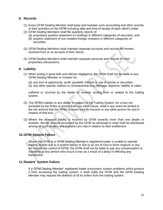#### **8. Records**

- (1) Every GFIM Dealing Member shall keep and maintain such accounting and other records of their activities on the GFIM including date and time of receipt of each client"s order.
- (2) GFIM Dealing Members shall file quarterly reports of:
	- (a) proprietary position statement on holdings in different categories of securities; and
	- (b) position statement of non-resident foreign investors in different categories of securities.
- (3) GFIM Dealing Members shall maintain separate accounts and records for monies received from or on account of their clients.
- (4) GFIM Dealing Members shall maintain separate accounts and records for their proprietary transactions.

#### **9. Liability**

- (1) When acting in good faith and without negligence, the GFIM shall not be liable to any GFIM Dealing Member or investor for:
	- (a) any loss of opportunity, profit, goodwill, interest or use of money or securities;
	- (b) any other special, indirect or consequential loss, damage, expense, liability or claim;

suffered or incurred by the dealer or investor arising from or related to the trading system.

- (2) The GFIM"s liability to any dealer in respect of the Trading System, for a loss not excluded by the Rules or arising from any other cause, shall in any event be limited to the net amount that the GFIM recovers from its insurers or any other person for and in respect of that loss.
- (3) Where the aforesaid liability is incurred by GFIM towards more than one dealer or investor, the net amount recovered by the GFIM as aforesaid is what shall be distributed among all such dealers and investors pro rata in relation to their entitlement.

#### **10.GFIM System Failure**

Where the GFIM or a GFIM Dealing Member"s registered trader is unable to operate trading system due to a system failure or due to an act of God or force majeure or any act outside the control of GFIM, the GFIM shall not be liable to pay any compensation or indemnity to any person who incurs a loss as a result of a delay in effecting any transaction.

#### **11.Dealers' System Failure**

If a GFIM Dealing Member" registered trader encounters system problems which prevent it from accessing the trading system, it shall notify the GFIM and the GFIM Dealing Member may request the deletion of all its orders from the trading system.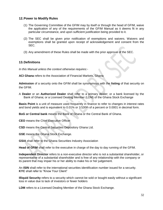#### **12.Power to Modify Rules**

- (1) The Governing Committee of the GFIM may by itself or through the head of GFIM, waive the application of any of the requirements of the GFIM Manual as it deems fit in any particular circumstance, and upon sufficient justification being provided to it.
- (2) The SEC shall be given prior notification of exemptions and waivers. Waivers and exemptions shall be granted upon receipt of acknowledgement and consent from the SEC.
- (3) Any amendment of these Rules shall be made with the prior approval of the SEC.

#### **13.Definitions**

*In this Manual unless the context otherwise requires:-*

**ACI Ghana** refers to the Association of Financial Markets, Ghana

**Admission** of a security onto the GFIM shall be synonymous with the **listing** of that security on the GFIM.

A **Dealer** or an **Authorized Dealer** shall refer to a primary dealer; or a bank licensed by the Bank of Ghana; or a Licensed Dealing Member (LDM) of the Ghana Stock Exchange

**Basis Point** is a unit of measure used frequently in finance to refer to changes in [interest rates](http://www.investopedia.com/terms/i/interestrate.asp) and [bond](http://www.investopedia.com/terms/b/bond.asp) [yields](http://www.investopedia.com/terms/y/yield.asp) and is equivalent to 0.01% or 1/100th of a percent or 0.0001 in decimal form.

**BoG or Central bank** means the Bank of Ghana or the Central Bank of Ghana.

**CEO** means the Chief Executive Officer

**CSD** means the Central Securities Depository Ghana Ltd.

**GSE** means the Ghana Stock Exchange.

**GSIA** shall refer to the Ghana Securities Industry Association

**Head of GFIM** shall refer to the executive in charge of the day to day running of the GFIM.

**Independent Director** refers to a non-executive director who is not a substantial shareholder, or representative of a substantial shareholder and is free of any relationship with the company or its parent that may impair his or her ability to make his or her judgement.

An **ISIN** shall refer to the international securities identification number issued for a security. **KYC** shall refer to "Know Your Client"

**Illiquid Security** refers to a security which cannot be sold or bought easily without a significant loss in value due to lack of investors or fewer holders

**LDM** refers to a Licensed Dealing Member of the Ghana Stock Exchange.